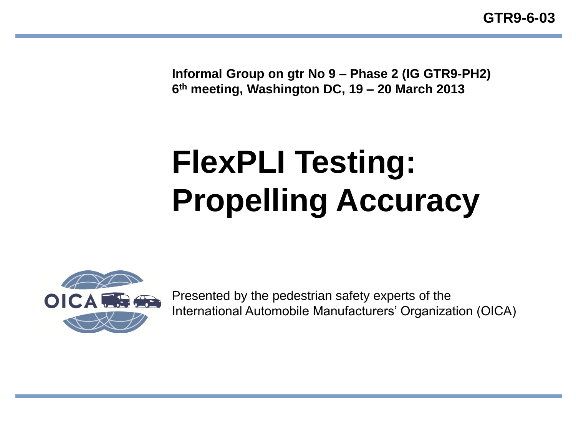**GTR9-6-03**

**Informal Group on gtr No 9 – Phase 2 (IG GTR9-PH2) 6 th meeting, Washington DC, 19 – 20 March 2013**

# **FlexPLI Testing: Propelling Accuracy**



Presented by the pedestrian safety experts of the International Automobile Manufacturers' Organization (OICA)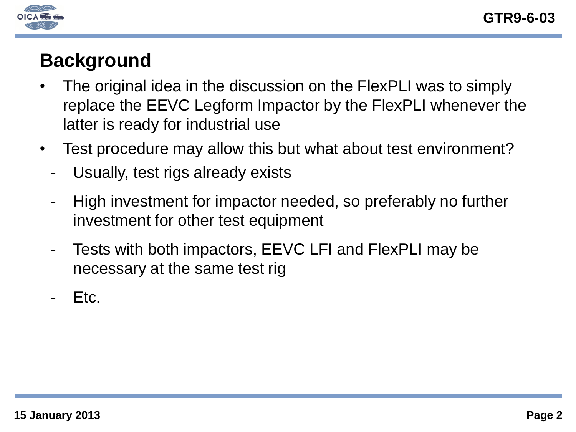

## **Background**

- The original idea in the discussion on the FlexPLI was to simply replace the EEVC Legform Impactor by the FlexPLI whenever the latter is ready for industrial use
- Test procedure may allow this but what about test environment?
	- Usually, test rigs already exists
	- High investment for impactor needed, so preferably no further investment for other test equipment
	- Tests with both impactors, EEVC LFI and FlexPLI may be necessary at the same test rig
	- Etc.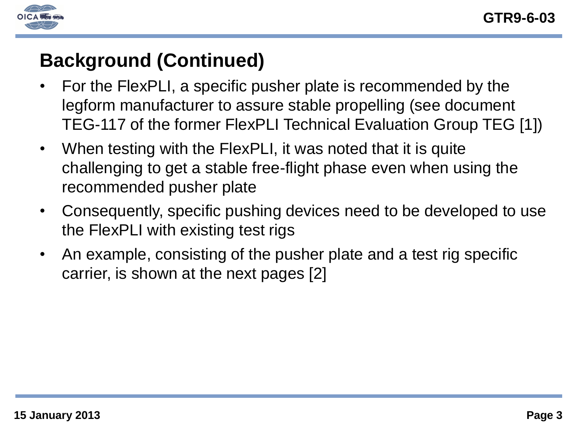

# **Background (Continued)**

- For the FlexPLI, a specific pusher plate is recommended by the legform manufacturer to assure stable propelling (see document TEG-117 of the former FlexPLI Technical Evaluation Group TEG [1])
- When testing with the FlexPLI, it was noted that it is quite challenging to get a stable free-flight phase even when using the recommended pusher plate
- Consequently, specific pushing devices need to be developed to use the FlexPLI with existing test rigs
- An example, consisting of the pusher plate and a test rig specific carrier, is shown at the next pages [2]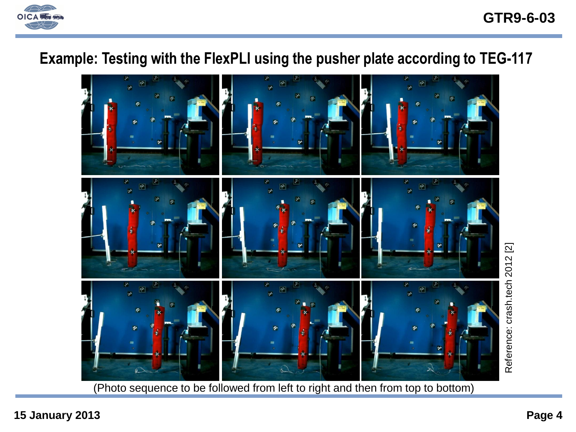

#### **GTR9-6-03**

#### **Example: Testing with the FlexPLI using the pusher plate according to TEG-117**



(Photo sequence to be followed from left to right and then from top to bottom)

**15 January 2013 Page 4**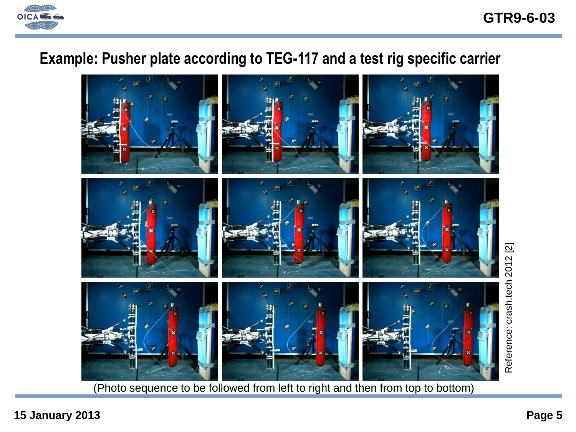

**GTR9-6-03**

#### **Example: Pusher plate according to TEG-117 and a test rig specific carrier**



(Photo sequence to be followed from left to right and then from top to bottom)

**15 January 2013 Page 5**

Reference: crash.tech 2012 [2]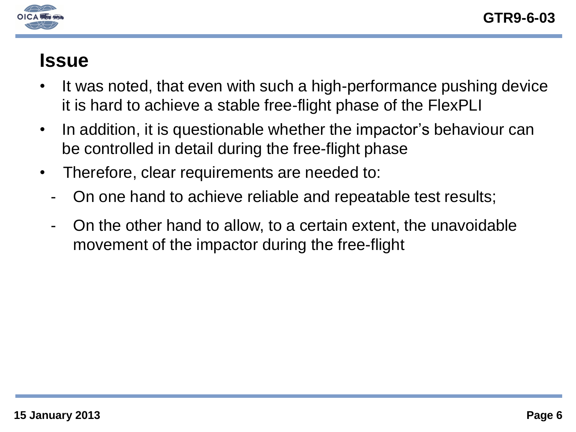

#### **Issue**

- It was noted, that even with such a high-performance pushing device it is hard to achieve a stable free-flight phase of the FlexPLI
- In addition, it is questionable whether the impactor's behaviour can be controlled in detail during the free-flight phase
- Therefore, clear requirements are needed to:
	- On one hand to achieve reliable and repeatable test results;
	- On the other hand to allow, to a certain extent, the unavoidable movement of the impactor during the free-flight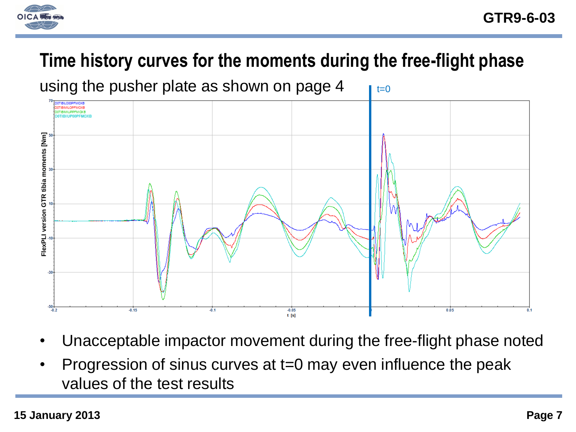

# **Time history curves for the moments during the free-flight phase**



- Unacceptable impactor movement during the free-flight phase noted
- Progression of sinus curves at t=0 may even influence the peak values of the test results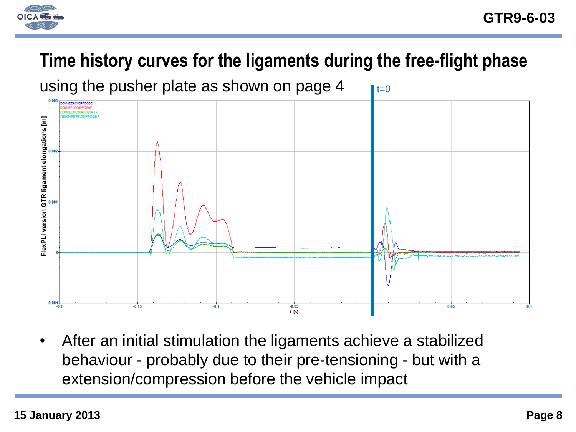

# **Time history curves for the ligaments during the free-flight phase**



• After an initial stimulation the ligaments achieve a stabilized behaviour - probably due to their pre-tensioning - but with a extension/compression before the vehicle impact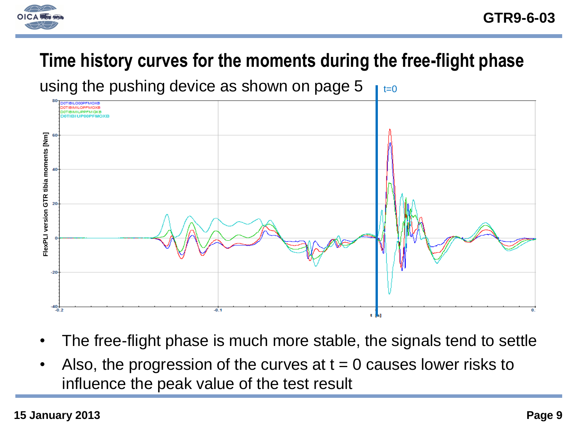

# **Time history curves for the moments during the free-flight phase**

 $t=0$ using the pushing device as shown on page 5



- The free-flight phase is much more stable, the signals tend to settle
- Also, the progression of the curves at  $t = 0$  causes lower risks to influence the peak value of the test result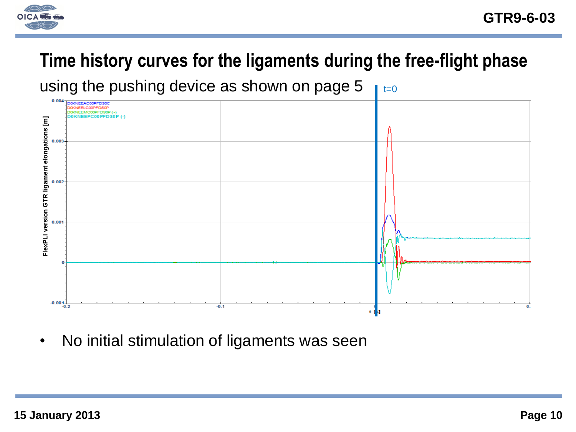

# **Time history curves for the ligaments during the free-flight phase**

 $t=0$ using the pushing device as shown on page 5



• No initial stimulation of ligaments was seen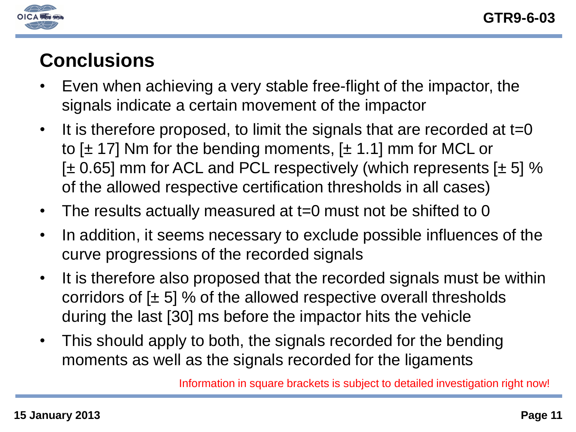

# **Conclusions**

- Even when achieving a very stable free-flight of the impactor, the signals indicate a certain movement of the impactor
- It is therefore proposed, to limit the signals that are recorded at t=0 to  $[\pm 17]$  Nm for the bending moments,  $[\pm 1.1]$  mm for MCL or [ $\pm$  0.65] mm for ACL and PCL respectively (which represents [ $\pm$  5] % of the allowed respective certification thresholds in all cases)
- The results actually measured at t=0 must not be shifted to 0
- In addition, it seems necessary to exclude possible influences of the curve progressions of the recorded signals
- It is therefore also proposed that the recorded signals must be within corridors of  $[\pm 5]$  % of the allowed respective overall thresholds during the last [30] ms before the impactor hits the vehicle
- This should apply to both, the signals recorded for the bending moments as well as the signals recorded for the ligaments

Information in square brackets is subject to detailed investigation right now!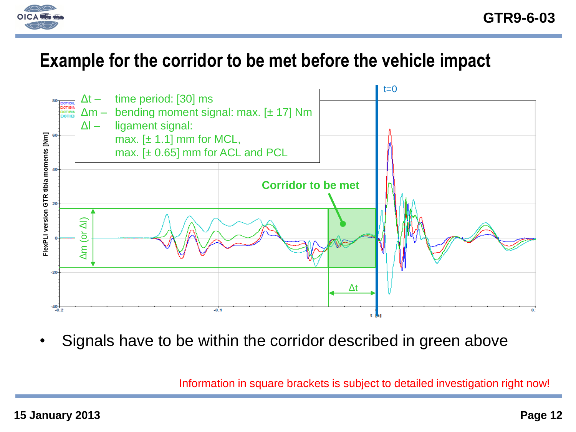

### **Example for the corridor to be met before the vehicle impact**



• Signals have to be within the corridor described in green above

Information in square brackets is subject to detailed investigation right now!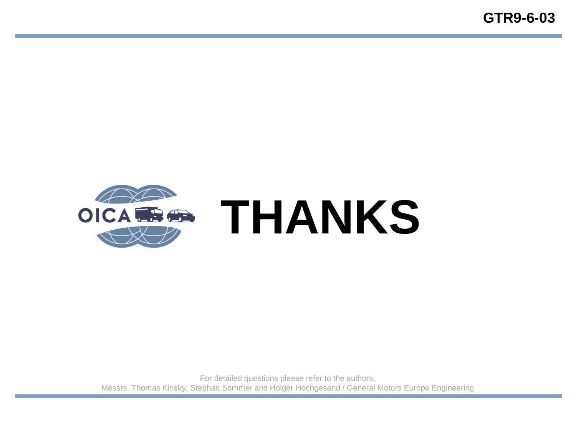

For detailed questions please refer to the authors, Messrs. Thomas Kinsky, Stephan Sommer and Holger Hochgesand / General Motors Europe Engineering